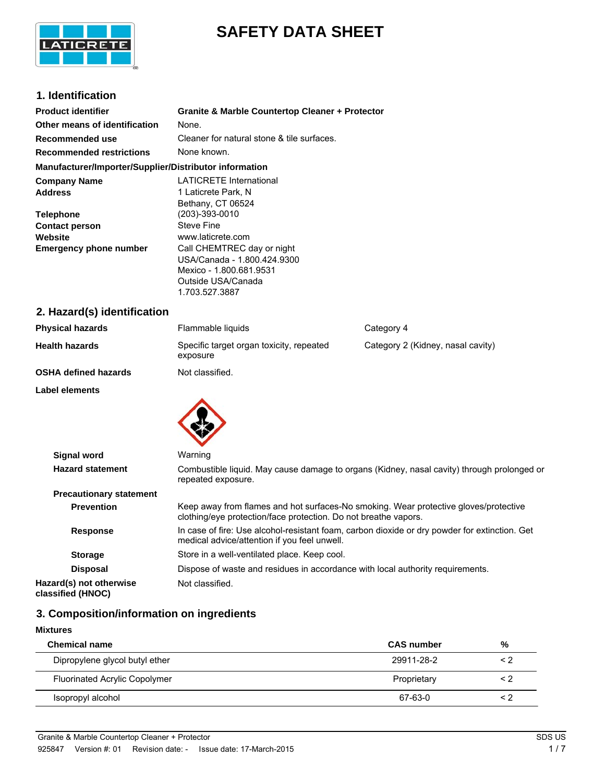

# **SAFETY DATA SHEET**

## **1. Identification**

| <b>Product identifier</b>                              | <b>Granite &amp; Marble Countertop Cleaner + Protector</b> |
|--------------------------------------------------------|------------------------------------------------------------|
| Other means of identification                          | None.                                                      |
| Recommended use                                        | Cleaner for natural stone & tile surfaces.                 |
| <b>Recommended restrictions</b>                        | None known.                                                |
| Manufacturer/Importer/Supplier/Distributor information |                                                            |
| <b>Company Name</b>                                    | <b>LATICRETE International</b>                             |
| <b>Address</b>                                         | 1 Laticrete Park, N                                        |
|                                                        | Bethany, CT 06524                                          |
| <b>Telephone</b>                                       | (203)-393-0010                                             |
| <b>Contact person</b>                                  | <b>Steve Fine</b>                                          |
| Website                                                | www.laticrete.com                                          |
| <b>Emergency phone number</b>                          | Call CHEMTREC day or night                                 |
|                                                        | USA/Canada - 1.800.424.9300                                |
|                                                        | Mexico - 1.800.681.9531                                    |
|                                                        | Outside USA/Canada                                         |
|                                                        | 1.703.527.3887                                             |

# **2. Hazard(s) identification**

| <b>Physical hazards</b>     | Flammable liquids                                    | Category 4                        |
|-----------------------------|------------------------------------------------------|-----------------------------------|
| <b>Health hazards</b>       | Specific target organ toxicity, repeated<br>exposure | Category 2 (Kidney, nasal cavity) |
| <b>OSHA defined hazards</b> | Not classified.                                      |                                   |
| Label elements              |                                                      |                                   |



| <b>Signal word</b>                           | Warning                                                                                                                                                 |
|----------------------------------------------|---------------------------------------------------------------------------------------------------------------------------------------------------------|
| <b>Hazard statement</b>                      | Combustible liquid. May cause damage to organs (Kidney, nasal cavity) through prolonged or<br>repeated exposure.                                        |
| <b>Precautionary statement</b>               |                                                                                                                                                         |
| <b>Prevention</b>                            | Keep away from flames and hot surfaces-No smoking. Wear protective gloves/protective<br>clothing/eye protection/face protection. Do not breathe vapors. |
| <b>Response</b>                              | In case of fire: Use alcohol-resistant foam, carbon dioxide or dry powder for extinction. Get<br>medical advice/attention if you feel unwell.           |
| <b>Storage</b>                               | Store in a well-ventilated place. Keep cool.                                                                                                            |
| <b>Disposal</b>                              | Dispose of waste and residues in accordance with local authority requirements.                                                                          |
| Hazard(s) not otherwise<br>classified (HNOC) | Not classified.                                                                                                                                         |

# **3. Composition/information on ingredients**

| <b>Mixtures</b>                                     |          |  |  |
|-----------------------------------------------------|----------|--|--|
| <b>Chemical name</b><br><b>CAS number</b>           | %        |  |  |
| Dipropylene glycol butyl ether<br>29911-28-2        | $\leq$ 2 |  |  |
| <b>Fluorinated Acrylic Copolymer</b><br>Proprietary | < 2      |  |  |
| Isopropyl alcohol<br>67-63-0                        | $\leq$ 2 |  |  |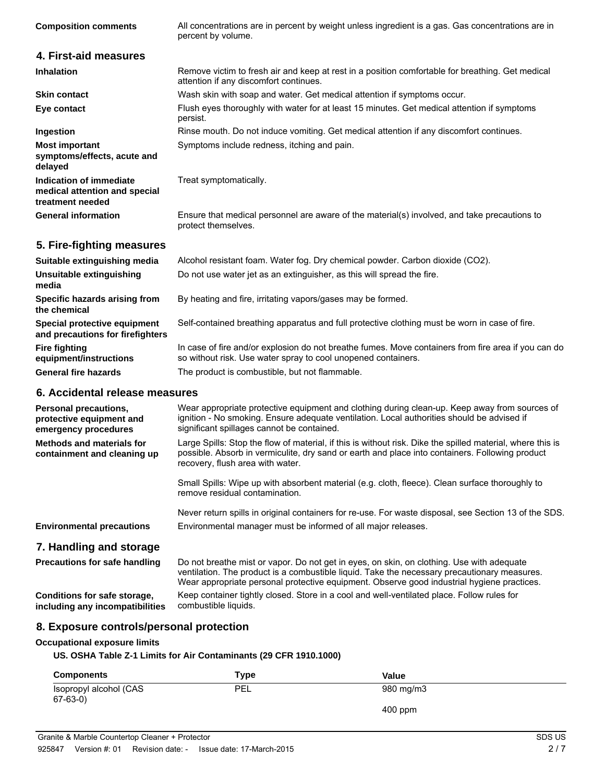| <b>Composition comments</b>                                                  | All concentrations are in percent by weight unless ingredient is a gas. Gas concentrations are in<br>percent by volume.                                              |
|------------------------------------------------------------------------------|----------------------------------------------------------------------------------------------------------------------------------------------------------------------|
| 4. First-aid measures                                                        |                                                                                                                                                                      |
| <b>Inhalation</b>                                                            | Remove victim to fresh air and keep at rest in a position comfortable for breathing. Get medical<br>attention if any discomfort continues.                           |
| <b>Skin contact</b>                                                          | Wash skin with soap and water. Get medical attention if symptoms occur.                                                                                              |
| Eye contact                                                                  | Flush eyes thoroughly with water for at least 15 minutes. Get medical attention if symptoms<br>persist.                                                              |
| Ingestion                                                                    | Rinse mouth. Do not induce vomiting. Get medical attention if any discomfort continues.                                                                              |
| <b>Most important</b><br>symptoms/effects, acute and<br>delayed              | Symptoms include redness, itching and pain.                                                                                                                          |
| Indication of immediate<br>medical attention and special<br>treatment needed | Treat symptomatically.                                                                                                                                               |
| <b>General information</b>                                                   | Ensure that medical personnel are aware of the material(s) involved, and take precautions to<br>protect themselves.                                                  |
| 5. Fire-fighting measures                                                    |                                                                                                                                                                      |
| Suitable extinguishing media                                                 | Alcohol resistant foam. Water fog. Dry chemical powder. Carbon dioxide (CO2).                                                                                        |
| <b>Unsuitable extinguishing</b><br>media                                     | Do not use water jet as an extinguisher, as this will spread the fire.                                                                                               |
| Specific hazards arising from<br>the chemical                                | By heating and fire, irritating vapors/gases may be formed.                                                                                                          |
| Special protective equipment<br>and precautions for firefighters             | Self-contained breathing apparatus and full protective clothing must be worn in case of fire.                                                                        |
| <b>Fire fighting</b><br>equipment/instructions                               | In case of fire and/or explosion do not breathe fumes. Move containers from fire area if you can do<br>so without risk. Use water spray to cool unopened containers. |
| <b>General fire hazards</b>                                                  | The product is combustible, but not flammable.                                                                                                                       |
| 6. Accidental release measures                                               |                                                                                                                                                                      |

| Personal precautions,<br>protective equipment and<br>emergency procedures | Wear appropriate protective equipment and clothing during clean-up. Keep away from sources of<br>ignition - No smoking. Ensure adequate ventilation. Local authorities should be advised if<br>significant spillages cannot be contained.         |  |
|---------------------------------------------------------------------------|---------------------------------------------------------------------------------------------------------------------------------------------------------------------------------------------------------------------------------------------------|--|
| Methods and materials for<br>containment and cleaning up                  | Large Spills: Stop the flow of material, if this is without risk. Dike the spilled material, where this is<br>possible. Absorb in vermiculite, dry sand or earth and place into containers. Following product<br>recovery, flush area with water. |  |
|                                                                           | Small Spills: Wipe up with absorbent material (e.g. cloth, fleece). Clean surface thoroughly to<br>remove residual contamination.                                                                                                                 |  |
| <b>Environmental precautions</b>                                          | Never return spills in original containers for re-use. For waste disposal, see Section 13 of the SDS.<br>Environmental manager must be informed of all major releases.                                                                            |  |
| 7. Handling and storage                                                   |                                                                                                                                                                                                                                                   |  |
| <b>Precautions for safe handling</b>                                      | Do not breathe mist or vapor. Do not get in eyes, on skin, on clothing. Use with adequate                                                                                                                                                         |  |

**Conditions for safe storage, including any incompatibilities**

ventilation. The product is a combustible liquid. Take the necessary precautionary measures. Wear appropriate personal protective equipment. Observe good industrial hygiene practices. Keep container tightly closed. Store in a cool and well-ventilated place. Follow rules for combustible liquids.

## **8. Exposure controls/personal protection**

## **Occupational exposure limits**

## **US. OSHA Table Z-1 Limits for Air Contaminants (29 CFR 1910.1000)**

| <b>Components</b>                    | Type       | Value     |  |
|--------------------------------------|------------|-----------|--|
| Isopropyl alcohol (CAS<br>$67-63-0)$ | <b>PEL</b> | 980 mg/m3 |  |
|                                      |            | $400$ ppm |  |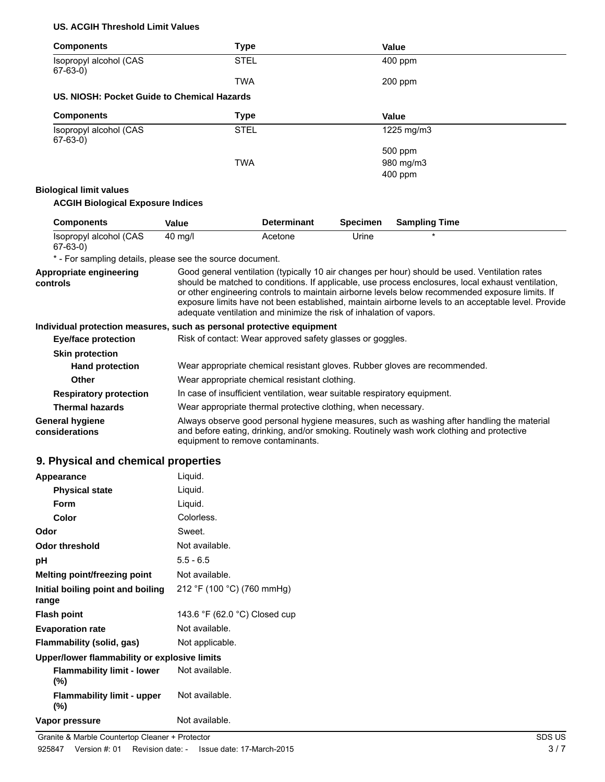## **US. ACGIH Threshold Limit Values**

| <b>Components</b>                                                     | <b>Type</b>                                                   |                                                                                                                                                                                                                                                                                                                                                                                                                                                                                       |                 | Value                |
|-----------------------------------------------------------------------|---------------------------------------------------------------|---------------------------------------------------------------------------------------------------------------------------------------------------------------------------------------------------------------------------------------------------------------------------------------------------------------------------------------------------------------------------------------------------------------------------------------------------------------------------------------|-----------------|----------------------|
| Isopropyl alcohol (CAS<br>$67-63-0$                                   | <b>STEL</b>                                                   |                                                                                                                                                                                                                                                                                                                                                                                                                                                                                       |                 | 400 ppm              |
|                                                                       | <b>TWA</b>                                                    |                                                                                                                                                                                                                                                                                                                                                                                                                                                                                       |                 | 200 ppm              |
| US. NIOSH: Pocket Guide to Chemical Hazards                           |                                                               |                                                                                                                                                                                                                                                                                                                                                                                                                                                                                       |                 |                      |
| <b>Components</b>                                                     | <b>Type</b>                                                   |                                                                                                                                                                                                                                                                                                                                                                                                                                                                                       |                 | Value                |
| Isopropyl alcohol (CAS<br>$67-63-0$                                   | <b>STEL</b>                                                   |                                                                                                                                                                                                                                                                                                                                                                                                                                                                                       |                 | 1225 mg/m3           |
|                                                                       |                                                               |                                                                                                                                                                                                                                                                                                                                                                                                                                                                                       |                 | 500 ppm              |
|                                                                       | <b>TWA</b>                                                    |                                                                                                                                                                                                                                                                                                                                                                                                                                                                                       |                 | 980 mg/m3            |
|                                                                       |                                                               |                                                                                                                                                                                                                                                                                                                                                                                                                                                                                       |                 | 400 ppm              |
| <b>Biological limit values</b>                                        |                                                               |                                                                                                                                                                                                                                                                                                                                                                                                                                                                                       |                 |                      |
| <b>ACGIH Biological Exposure Indices</b>                              |                                                               |                                                                                                                                                                                                                                                                                                                                                                                                                                                                                       |                 |                      |
| <b>Components</b>                                                     | <b>Value</b>                                                  | <b>Determinant</b>                                                                                                                                                                                                                                                                                                                                                                                                                                                                    | <b>Specimen</b> | <b>Sampling Time</b> |
| Isopropyl alcohol (CAS<br>$67-63-0$                                   | 40 mg/l                                                       | Acetone                                                                                                                                                                                                                                                                                                                                                                                                                                                                               | Urine           |                      |
| * - For sampling details, please see the source document.             |                                                               |                                                                                                                                                                                                                                                                                                                                                                                                                                                                                       |                 |                      |
| Appropriate engineering<br>controls                                   |                                                               | Good general ventilation (typically 10 air changes per hour) should be used. Ventilation rates<br>should be matched to conditions. If applicable, use process enclosures, local exhaust ventilation,<br>or other engineering controls to maintain airborne levels below recommended exposure limits. If<br>exposure limits have not been established, maintain airborne levels to an acceptable level. Provide<br>adequate ventilation and minimize the risk of inhalation of vapors. |                 |                      |
| Individual protection measures, such as personal protective equipment |                                                               |                                                                                                                                                                                                                                                                                                                                                                                                                                                                                       |                 |                      |
| <b>Eye/face protection</b>                                            | Risk of contact: Wear approved safety glasses or goggles.     |                                                                                                                                                                                                                                                                                                                                                                                                                                                                                       |                 |                      |
| <b>Skin protection</b>                                                |                                                               |                                                                                                                                                                                                                                                                                                                                                                                                                                                                                       |                 |                      |
| <b>Hand protection</b>                                                |                                                               | Wear appropriate chemical resistant gloves. Rubber gloves are recommended.                                                                                                                                                                                                                                                                                                                                                                                                            |                 |                      |
| <b>Other</b>                                                          |                                                               | Wear appropriate chemical resistant clothing.                                                                                                                                                                                                                                                                                                                                                                                                                                         |                 |                      |
| <b>Respiratory protection</b>                                         |                                                               | In case of insufficient ventilation, wear suitable respiratory equipment.                                                                                                                                                                                                                                                                                                                                                                                                             |                 |                      |
| <b>Thermal hazards</b>                                                | Wear appropriate thermal protective clothing, when necessary. |                                                                                                                                                                                                                                                                                                                                                                                                                                                                                       |                 |                      |
| <b>General hygiene</b><br>considerations                              |                                                               | Always observe good personal hygiene measures, such as washing after handling the material<br>and before eating, drinking, and/or smoking. Routinely wash work clothing and protective                                                                                                                                                                                                                                                                                                |                 |                      |

equipment to remove contaminants.

and before eating, drinking, and/or smoking. Routinely wash work clothing and protective

## **9. Physical and chemical properties**

| Appearance                                   | Liquid.                       |
|----------------------------------------------|-------------------------------|
| <b>Physical state</b>                        | Liquid.                       |
| Form                                         | Liquid.                       |
| Color                                        | Colorless.                    |
| Odor                                         | Sweet.                        |
| Odor threshold                               | Not available.                |
| рH                                           | $5.5 - 6.5$                   |
| Melting point/freezing point                 | Not available.                |
| Initial boiling point and boiling<br>range   | 212 °F (100 °C) (760 mmHg)    |
| <b>Flash point</b>                           | 143.6 °F (62.0 °C) Closed cup |
| <b>Evaporation rate</b>                      | Not available.                |
| <b>Flammability (solid, gas)</b>             | Not applicable.               |
| Upper/lower flammability or explosive limits |                               |
| <b>Flammability limit - lower</b><br>$(\%)$  | Not available.                |
| <b>Flammability limit - upper</b><br>(%)     | Not available.                |
| Vapor pressure                               | Not available.                |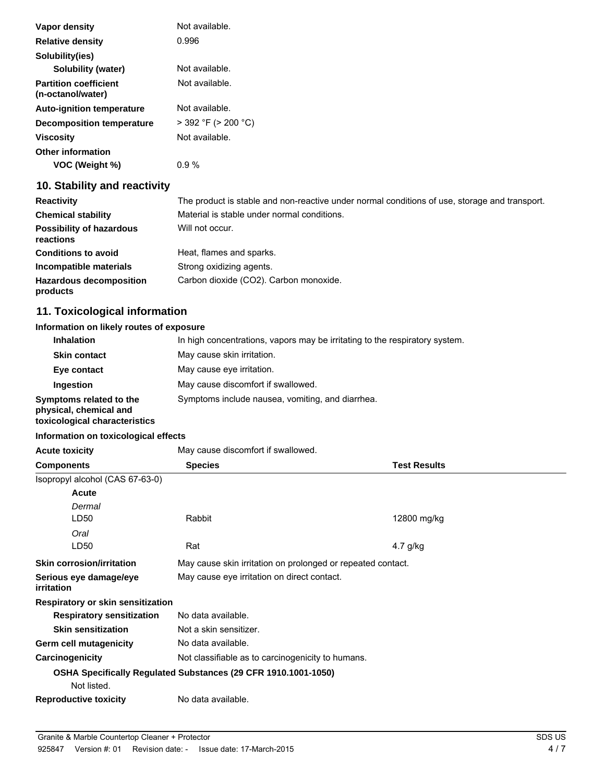| Vapor density                                     | Not available.           |
|---------------------------------------------------|--------------------------|
| <b>Relative density</b>                           | 0.996                    |
| Solubility(ies)                                   |                          |
| Solubility (water)                                | Not available.           |
| <b>Partition coefficient</b><br>(n-octanol/water) | Not available.           |
| <b>Auto-ignition temperature</b>                  | Not available.           |
| <b>Decomposition temperature</b>                  | $>$ 392 °F ( $>$ 200 °C) |
| <b>Viscosity</b>                                  | Not available.           |
| <b>Other information</b><br>VOC (Weight %)        | $0.9\%$                  |

# **10. Stability and reactivity**

| <b>Reactivity</b>                            | The product is stable and non-reactive under normal conditions of use, storage and transport. |
|----------------------------------------------|-----------------------------------------------------------------------------------------------|
| <b>Chemical stability</b>                    | Material is stable under normal conditions.                                                   |
| <b>Possibility of hazardous</b><br>reactions | Will not occur.                                                                               |
| <b>Conditions to avoid</b>                   | Heat, flames and sparks.                                                                      |
| Incompatible materials                       | Strong oxidizing agents.                                                                      |
| <b>Hazardous decomposition</b><br>products   | Carbon dioxide (CO2). Carbon monoxide.                                                        |

# **11. Toxicological information**

## **Information on likely routes of exposure**

| <b>Inhalation</b>                                                                  | In high concentrations, vapors may be irritating to the respiratory system. |
|------------------------------------------------------------------------------------|-----------------------------------------------------------------------------|
| <b>Skin contact</b>                                                                | May cause skin irritation.                                                  |
| Eye contact                                                                        | May cause eye irritation.                                                   |
| Ingestion                                                                          | May cause discomfort if swallowed.                                          |
| Symptoms related to the<br>physical, chemical and<br>toxicological characteristics | Symptoms include nausea, vomiting, and diarrhea.                            |

## **Information on toxicological effects**

| <b>Acute toxicity</b>                       | May cause discomfort if swallowed.                             |                     |  |
|---------------------------------------------|----------------------------------------------------------------|---------------------|--|
| <b>Components</b>                           | <b>Species</b>                                                 | <b>Test Results</b> |  |
| Isopropyl alcohol (CAS 67-63-0)             |                                                                |                     |  |
| Acute                                       |                                                                |                     |  |
| Dermal                                      |                                                                |                     |  |
| LD50                                        | Rabbit                                                         | 12800 mg/kg         |  |
| Oral                                        |                                                                |                     |  |
| LD50                                        | Rat                                                            | 4.7 $q/kg$          |  |
| <b>Skin corrosion/irritation</b>            | May cause skin irritation on prolonged or repeated contact.    |                     |  |
| Serious eye damage/eye<br><i>irritation</i> | May cause eye irritation on direct contact.                    |                     |  |
| Respiratory or skin sensitization           |                                                                |                     |  |
| <b>Respiratory sensitization</b>            | No data available.                                             |                     |  |
| <b>Skin sensitization</b>                   | Not a skin sensitizer.                                         |                     |  |
| <b>Germ cell mutagenicity</b>               | No data available.                                             |                     |  |
| Carcinogenicity                             | Not classifiable as to carcinogenicity to humans.              |                     |  |
|                                             | OSHA Specifically Regulated Substances (29 CFR 1910.1001-1050) |                     |  |
| Not listed.                                 |                                                                |                     |  |
| <b>Reproductive toxicity</b>                | No data available.                                             |                     |  |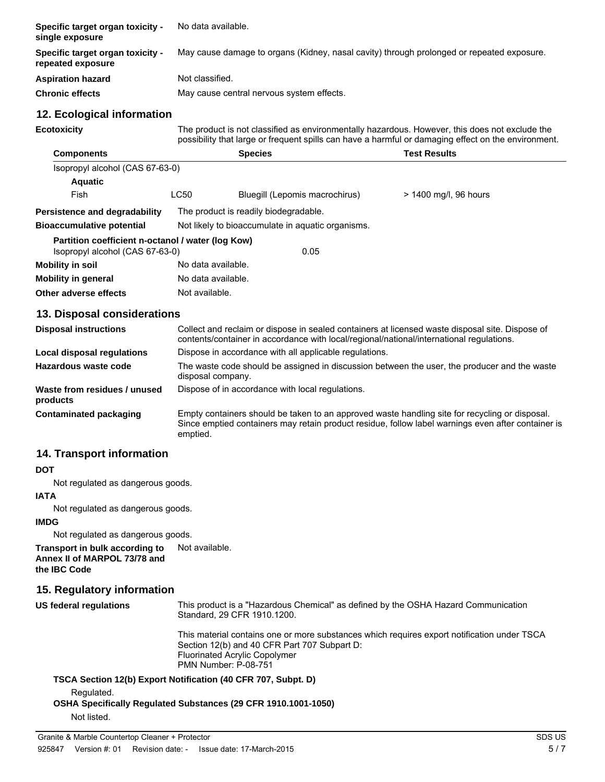| Specific target organ toxicity -<br>single exposure                                  | No data available.                                                                                                                                                                                               |                                |                       |  |
|--------------------------------------------------------------------------------------|------------------------------------------------------------------------------------------------------------------------------------------------------------------------------------------------------------------|--------------------------------|-----------------------|--|
| Specific target organ toxicity -<br>repeated exposure                                | May cause damage to organs (Kidney, nasal cavity) through prolonged or repeated exposure.                                                                                                                        |                                |                       |  |
| <b>Aspiration hazard</b>                                                             | Not classified.                                                                                                                                                                                                  |                                |                       |  |
| <b>Chronic effects</b>                                                               | May cause central nervous system effects.                                                                                                                                                                        |                                |                       |  |
| 12. Ecological information                                                           |                                                                                                                                                                                                                  |                                |                       |  |
| <b>Ecotoxicity</b>                                                                   | The product is not classified as environmentally hazardous. However, this does not exclude the<br>possibility that large or frequent spills can have a harmful or damaging effect on the environment.            |                                |                       |  |
| <b>Components</b>                                                                    |                                                                                                                                                                                                                  | <b>Species</b>                 | <b>Test Results</b>   |  |
| Isopropyl alcohol (CAS 67-63-0)                                                      |                                                                                                                                                                                                                  |                                |                       |  |
| <b>Aquatic</b>                                                                       |                                                                                                                                                                                                                  |                                |                       |  |
| Fish                                                                                 | <b>LC50</b>                                                                                                                                                                                                      | Bluegill (Lepomis macrochirus) | > 1400 mg/l, 96 hours |  |
| Persistence and degradability                                                        | The product is readily biodegradable.                                                                                                                                                                            |                                |                       |  |
| <b>Bioaccumulative potential</b>                                                     | Not likely to bioaccumulate in aquatic organisms.                                                                                                                                                                |                                |                       |  |
| Partition coefficient n-octanol / water (log Kow)<br>Isopropyl alcohol (CAS 67-63-0) |                                                                                                                                                                                                                  | 0.05                           |                       |  |
| <b>Mobility in soil</b>                                                              | No data available.                                                                                                                                                                                               |                                |                       |  |
| <b>Mobility in general</b>                                                           | No data available.                                                                                                                                                                                               |                                |                       |  |
| Other adverse effects                                                                | Not available.                                                                                                                                                                                                   |                                |                       |  |
| 13. Disposal considerations                                                          |                                                                                                                                                                                                                  |                                |                       |  |
| <b>Disposal instructions</b>                                                         | Collect and reclaim or dispose in sealed containers at licensed waste disposal site. Dispose of<br>contents/container in accordance with local/regional/national/international regulations.                      |                                |                       |  |
| <b>Local disposal regulations</b>                                                    | Dispose in accordance with all applicable regulations.                                                                                                                                                           |                                |                       |  |
| Hazardous waste code                                                                 | The waste code should be assigned in discussion between the user, the producer and the waste<br>disposal company.                                                                                                |                                |                       |  |
| Waste from residues / unused<br>products                                             | Dispose of in accordance with local regulations.                                                                                                                                                                 |                                |                       |  |
| <b>Contaminated packaging</b>                                                        | Empty containers should be taken to an approved waste handling site for recycling or disposal.<br>Since emptied containers may retain product residue, follow label warnings even after container is<br>emptied. |                                |                       |  |

# **14. Transport information**

## **DOT**

Not regulated as dangerous goods.

#### **IATA**

Not regulated as dangerous goods.

## **IMDG**

Not regulated as dangerous goods.

**Transport in bulk according to** Not available.

**Annex II of MARPOL 73/78 and the IBC Code**

# **15. Regulatory information**

| US federal regulations | This product is a "Hazardous Chemical" as defined by the OSHA Hazard Communication<br>Standard, 29 CFR 1910.1200.                                                                                                  |  |  |
|------------------------|--------------------------------------------------------------------------------------------------------------------------------------------------------------------------------------------------------------------|--|--|
|                        | This material contains one or more substances which requires export notification under TSCA<br>Section 12(b) and 40 CFR Part 707 Subpart D:<br><b>Fluorinated Acrylic Copolymer</b><br><b>PMN Number: P-08-751</b> |  |  |
|                        | TSCA Section 12(b) Export Notification (40 CFR 707, Subpt. D)                                                                                                                                                      |  |  |
| Regulated.             |                                                                                                                                                                                                                    |  |  |

**OSHA Specifically Regulated Substances (29 CFR 1910.1001-1050)** Not listed.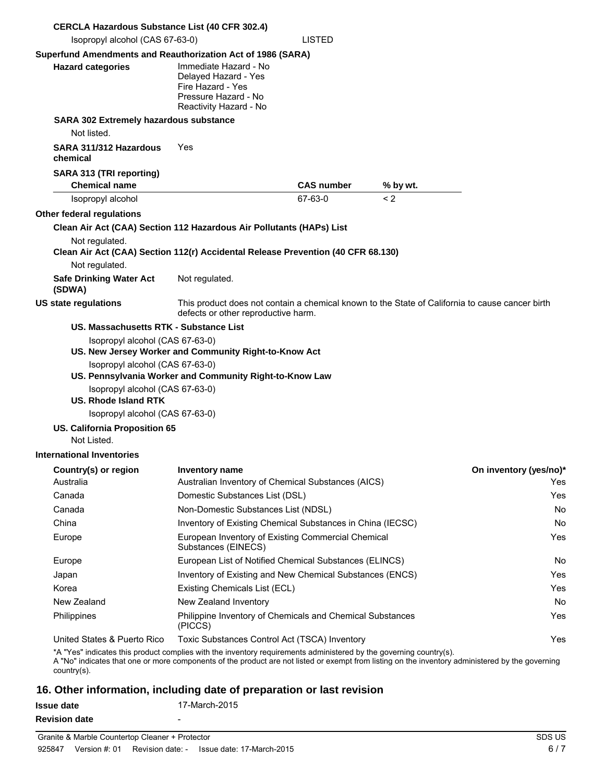| <b>CERCLA Hazardous Substance List (40 CFR 302.4)</b>                                                                                                                                                                                                                                                                   |                                                                                                                                        |                   |          |                        |
|-------------------------------------------------------------------------------------------------------------------------------------------------------------------------------------------------------------------------------------------------------------------------------------------------------------------------|----------------------------------------------------------------------------------------------------------------------------------------|-------------------|----------|------------------------|
| Isopropyl alcohol (CAS 67-63-0)                                                                                                                                                                                                                                                                                         |                                                                                                                                        | <b>LISTED</b>     |          |                        |
| Superfund Amendments and Reauthorization Act of 1986 (SARA)<br><b>Hazard categories</b>                                                                                                                                                                                                                                 | Immediate Hazard - No<br>Delayed Hazard - Yes<br>Fire Hazard - Yes<br>Pressure Hazard - No<br>Reactivity Hazard - No                   |                   |          |                        |
| <b>SARA 302 Extremely hazardous substance</b>                                                                                                                                                                                                                                                                           |                                                                                                                                        |                   |          |                        |
| Not listed.                                                                                                                                                                                                                                                                                                             |                                                                                                                                        |                   |          |                        |
| SARA 311/312 Hazardous<br>chemical                                                                                                                                                                                                                                                                                      | Yes                                                                                                                                    |                   |          |                        |
| SARA 313 (TRI reporting)<br><b>Chemical name</b>                                                                                                                                                                                                                                                                        |                                                                                                                                        | <b>CAS number</b> | % by wt. |                        |
| Isopropyl alcohol                                                                                                                                                                                                                                                                                                       |                                                                                                                                        | 67-63-0           | < 2      |                        |
| Other federal regulations                                                                                                                                                                                                                                                                                               |                                                                                                                                        |                   |          |                        |
| Clean Air Act (CAA) Section 112 Hazardous Air Pollutants (HAPs) List                                                                                                                                                                                                                                                    |                                                                                                                                        |                   |          |                        |
| Not regulated.                                                                                                                                                                                                                                                                                                          |                                                                                                                                        |                   |          |                        |
| Clean Air Act (CAA) Section 112(r) Accidental Release Prevention (40 CFR 68.130)                                                                                                                                                                                                                                        |                                                                                                                                        |                   |          |                        |
| Not regulated.                                                                                                                                                                                                                                                                                                          |                                                                                                                                        |                   |          |                        |
| <b>Safe Drinking Water Act</b><br>(SDWA)                                                                                                                                                                                                                                                                                | Not regulated.                                                                                                                         |                   |          |                        |
| <b>US state regulations</b>                                                                                                                                                                                                                                                                                             | This product does not contain a chemical known to the State of California to cause cancer birth<br>defects or other reproductive harm. |                   |          |                        |
| US. Massachusetts RTK - Substance List                                                                                                                                                                                                                                                                                  |                                                                                                                                        |                   |          |                        |
| Isopropyl alcohol (CAS 67-63-0)<br>Isopropyl alcohol (CAS 67-63-0)<br>Isopropyl alcohol (CAS 67-63-0)<br><b>US. Rhode Island RTK</b><br>Isopropyl alcohol (CAS 67-63-0)<br>US. California Proposition 65                                                                                                                | US. New Jersey Worker and Community Right-to-Know Act<br>US. Pennsylvania Worker and Community Right-to-Know Law                       |                   |          |                        |
| Not Listed.                                                                                                                                                                                                                                                                                                             |                                                                                                                                        |                   |          |                        |
| <b>International Inventories</b>                                                                                                                                                                                                                                                                                        |                                                                                                                                        |                   |          |                        |
| Country(s) or region                                                                                                                                                                                                                                                                                                    | <b>Inventory name</b>                                                                                                                  |                   |          | On inventory (yes/no)* |
| Australia                                                                                                                                                                                                                                                                                                               | Australian Inventory of Chemical Substances (AICS)                                                                                     |                   |          | Yes                    |
| Canada                                                                                                                                                                                                                                                                                                                  | Domestic Substances List (DSL)                                                                                                         |                   |          | Yes.                   |
| Canada                                                                                                                                                                                                                                                                                                                  | Non-Domestic Substances List (NDSL)                                                                                                    |                   |          | No.                    |
| China                                                                                                                                                                                                                                                                                                                   | Inventory of Existing Chemical Substances in China (IECSC)                                                                             |                   |          | No                     |
| Europe                                                                                                                                                                                                                                                                                                                  | European Inventory of Existing Commercial Chemical<br>Substances (EINECS)                                                              |                   |          | Yes                    |
| Europe                                                                                                                                                                                                                                                                                                                  | European List of Notified Chemical Substances (ELINCS)                                                                                 |                   |          | No.                    |
| Japan                                                                                                                                                                                                                                                                                                                   | Inventory of Existing and New Chemical Substances (ENCS)                                                                               |                   |          | Yes                    |
| Korea                                                                                                                                                                                                                                                                                                                   | Existing Chemicals List (ECL)                                                                                                          |                   |          | Yes                    |
| New Zealand                                                                                                                                                                                                                                                                                                             | New Zealand Inventory                                                                                                                  |                   |          | No                     |
| Philippines                                                                                                                                                                                                                                                                                                             | Philippine Inventory of Chemicals and Chemical Substances<br>(PICCS)                                                                   |                   |          | Yes                    |
| United States & Puerto Rico<br>*A "Yes" indicates this product complies with the inventory requirements administered by the governing country(s).<br>A "No" indicates that one or more components of the product are not listed or exempt from listing on the inventory administered by the governing<br>$country(s)$ . | Toxic Substances Control Act (TSCA) Inventory                                                                                          |                   |          | Yes                    |

## **16. Other information, including date of preparation or last revision**

| Issue date           | 17-March-2015 |
|----------------------|---------------|
| <b>Revision date</b> | -             |